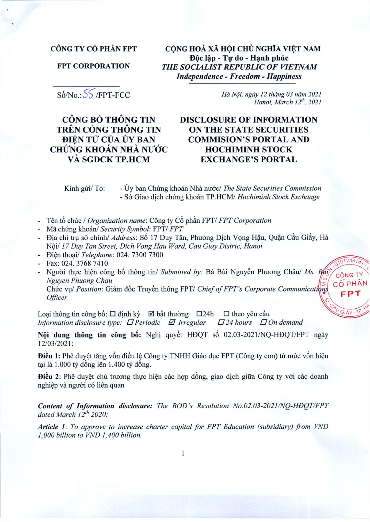## CÔNG TY CỔ PHẦN FPT

**FPT CORPORATION** 

CÔNG HOÀ XÃ HỘI CHỦ NGHĨA VIẾT NAM Độc lập - Tự do - Hạnh phúc THE SOCIALIST REPUBLIC OF VIETNAM **Independence - Freedom - Happiness** 

Số/No.: SS /FPT-FCC

CÔNG BỐ THÔNG TIN TRÊN CỔNG THỐNG TIN ĐIÊN TỬ CỦA ỦY BAN CHỨNG KHOÁN NHÀ NƯỚC VÀ SGDCK TP.HCM

Hà Nội, ngày 12 tháng 03 năm 2021 Hanoi, March 12th, 2021

1248

**CÔNG TY** 

CÔ PHÂN

EP

# **DISCLOSURE OF INFORMATION ON THE STATE SECURITIES COMMISION'S PORTAL AND HOCHIMINH STOCK EXCHANGE'S PORTAL**

Kính gửi/ To: - Ủy ban Chứng khoán Nhà nước/ The State Securities Commission - Sở Giao dịch chứng khoán TP.HCM/ Hochiminh Stock Exchange

- Tên tổ chức / Organization name: Công ty Cổ phần FPT/ FPT Corporation
- Mã chứng khoán/ Security Symbol: FPT/ FPT
- Địa chỉ trụ sở chính/ *Address*: Số 17 Duy Tân, Phường Dịch Vọng Hậu, Quận Cầu Giấy, Hà Nội/ 17 Duy Tan Street, Dich Vong Hau Ward, Cau Giay Distric, Hanoi
- Điện thoại/ Telephone: 024. 7300 7300
- Fax: 024. 3768 7410

**Officer** 

- Người thực hiện công bố thông tin/ Submitted by: Bà Bùi Nguyễn Phương Châu/ Ms. Buy Nguyen Phuong Chau Chức vụ/ Position: Giám đốc Truyền thông FPT/ Chief of FPT's Corporate Communications

Loại thông tin công bố:  $\Box$  định kỳ  $\Box$  bất thường  $\Box$  24h  $\Box$  theo yêu cầu  $\Box$  24 hours  $\Box$  On demand Information disclosure type:  $\Box$  Periodic  $\Box$  Irregular

Nội dung thông tin công bố: Nghị quyết HĐQT số 02.03-2021/NQ-HĐQT/FPT ngày 12/03/2021:

Điều 1: Phê duyệt tăng vốn điều lệ Công ty TNHH Giáo dục FPT (Công ty con) từ mức vốn hiện tại là 1.000 tỷ đồng lên 1.400 tỷ đồng.

**Điều 2**: Phê duyệt chủ trương thực hiện các hợp đồng, giao dịch giữa Công ty với các doanh nghiệp và người có liên quan

Content of Information disclosure: The BOD's Resolution No.02.03-2021/NQ-HDQT/FPT dated March 12th 2020:

Article 1: To approve to increase charter capital for FPT Education (subsidiary) from VND 1,000 billion to VND 1,400 billion.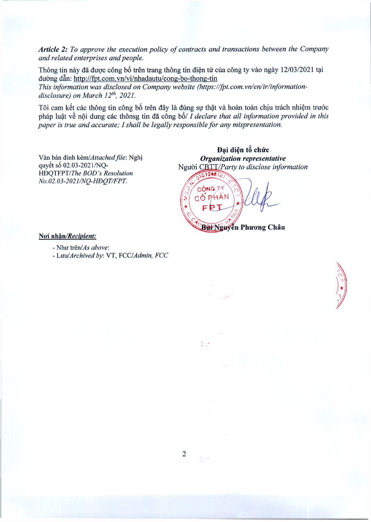Article 2: To approve the execution policy of contracts and transactions between the Company and related enterprises and people.

Thông tin này đã được công bố trên trang thông tin điện tử của công ty vào ngày 12/03/2021 tại đường dẫn: http://fpt.com.vn/vi/nhadautu/cong-bo-thong-tin

This information was disclosed on Company website (https://fpt.com.vn/en/ir/informationdisclosure) on March 12<sup>th</sup>, 2021.

Tôi cam kết các thông tin công bố trên đây là đúng sự thật và hoàn toàn chịu trách nhiệm trước pháp luật về nội dung các thônsg tin đã công bố/ I declare that all information provided in this paper is true and accurate; I shall be legally responsible for any mispresentation.

Văn bản đính kèm/Attached file: Nghị quyết số 02.03-2021/NQ-HĐQTFPT/The BOD's Resolution No.02.03-2021/NQ-HĐQT/FPT.

Đai diện tổ chức Organization representative Nguòi CBTT/Party to disclose information

10124814 CÔNG TY CÔ PHÂN FPT Bur Nguyễn Phương Châu

#### Noi nhân/Recipient:

- Như trên/As above:
- Luu/Archived by: VT, FCC/Admin, FCC

 $\ell$  ,  $\ldots$ 

ない。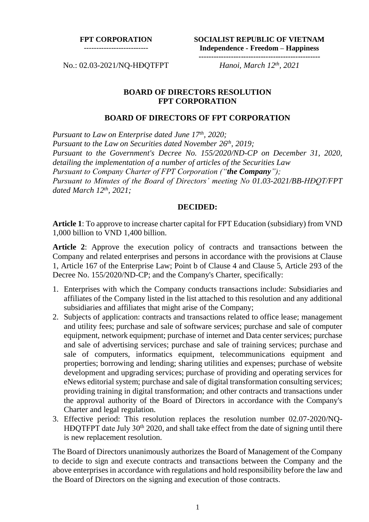#### **FPT CORPORATION**

--------------------------

**SOCIALIST REPUBLIC OF VIETNAM Independence - Freedom – Happiness -------------------------------------------------**

No.: 02.03-2021/NQ-HĐQTFPT *Hanoi, March 12th, 2021*

### **BOARD OF DIRECTORS RESOLUTION FPT CORPORATION**

#### **BOARD OF DIRECTORS OF FPT CORPORATION**

*Pursuant to Law on Enterprise dated June 17 th , 2020; Pursuant to the Law on Securities dated November 26th, 2019; Pursuant to the Government's Decree No. 155/2020/ND-CP on December 31, 2020, detailing the implementation of a number of articles of the Securities Law Pursuant to Company Charter of FPT Corporation ("the Company"); Pursuant to Minutes of the Board of Directors' meeting No 01.03-2021/BB-HĐQT/FPT dated March 12th , 2021;*

## **DECIDED:**

**Article 1**: To approve to increase charter capital for FPT Education (subsidiary) from VND 1,000 billion to VND 1,400 billion.

**Article 2**: Approve the execution policy of contracts and transactions between the Company and related enterprises and persons in accordance with the provisions at Clause 1, Article 167 of the Enterprise Law; Point b of Clause 4 and Clause 5, Article 293 of the Decree No. 155/2020/ND-CP; and the Company's Charter, specifically:

- 1. Enterprises with which the Company conducts transactions include: Subsidiaries and affiliates of the Company listed in the list attached to this resolution and any additional subsidiaries and affiliates that might arise of the Company;
- 2. Subjects of application: contracts and transactions related to office lease; management and utility fees; purchase and sale of software services; purchase and sale of computer equipment, network equipment; purchase of internet and Data center services; purchase and sale of advertising services; purchase and sale of training services; purchase and sale of computers, informatics equipment, telecommunications equipment and properties; borrowing and lending; sharing utilities and expenses; purchase of website development and upgrading services; purchase of providing and operating services for eNews editorial system; purchase and sale of digital transformation consulting services; providing training in digital transformation; and other contracts and transactions under the approval authority of the Board of Directors in accordance with the Company's Charter and legal regulation.
- 3. Effective period: This resolution replaces the resolution number 02.07-2020/NQ-HĐQTFPT date July 30<sup>th</sup> 2020, and shall take effect from the date of signing until there is new replacement resolution.

The Board of Directors unanimously authorizes the Board of Management of the Company to decide to sign and execute contracts and transactions between the Company and the above enterprises in accordance with regulations and hold responsibility before the law and the Board of Directors on the signing and execution of those contracts.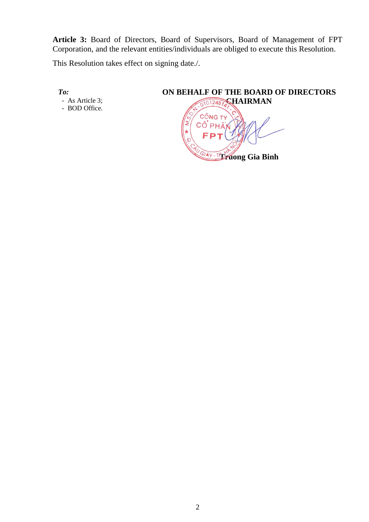**Article 3:** Board of Directors, Board of Supervisors, Board of Management of FPT Corporation, and the relevant entities/individuals are obliged to execute this Resolution.

This Resolution takes effect on signing date./.

*To:*

- As Article 3; - BOD Office.

# **ON BEHALF OF THE BOARD OF DIRECTORS** 01012487 CHAIRMAN CÔNG TY **SIAY-TEFUONG Gia Binh**